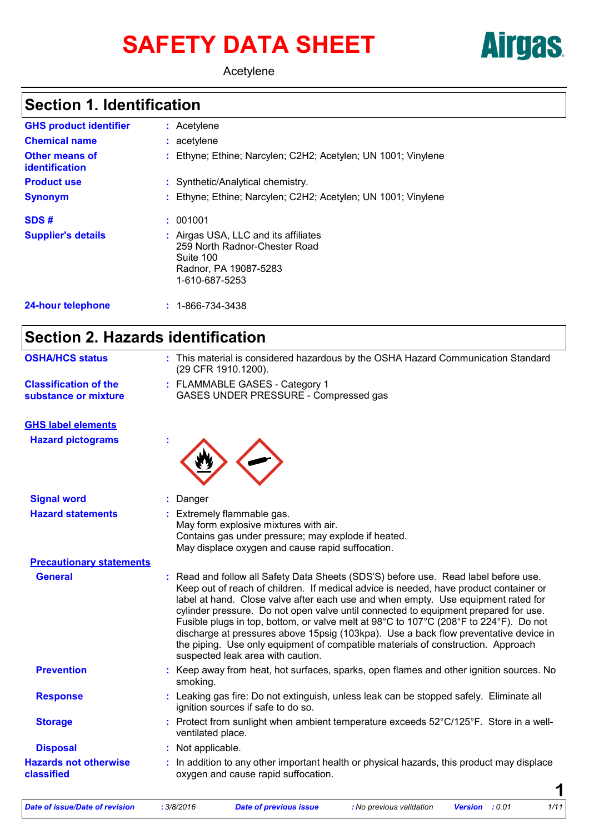# SAFETY DATA SHEET **Airgas**

Acetylene

# **Section 1. Identification**

| <b>GHS product identifier</b>                  | : Acetylene                                                                                                                   |
|------------------------------------------------|-------------------------------------------------------------------------------------------------------------------------------|
| <b>Chemical name</b>                           | : acetylene                                                                                                                   |
| <b>Other means of</b><br><b>identification</b> | : Ethyne; Ethine; Narcylen; C2H2; Acetylen; UN 1001; Vinylene                                                                 |
| <b>Product use</b>                             | : Synthetic/Analytical chemistry.                                                                                             |
| <b>Synonym</b>                                 | : Ethyne; Ethine; Narcylen; C2H2; Acetylen; UN 1001; Vinylene                                                                 |
| SDS#                                           | : 001001                                                                                                                      |
| <b>Supplier's details</b>                      | : Airgas USA, LLC and its affiliates<br>259 North Radnor-Chester Road<br>Suite 100<br>Radnor, PA 19087-5283<br>1-610-687-5253 |
| <b>24-hour telephone</b>                       | $: 1 - 866 - 734 - 3438$                                                                                                      |

# **Section 2. Hazards identification**

| <b>OSHA/HCS status</b>                               | : This material is considered hazardous by the OSHA Hazard Communication Standard<br>(29 CFR 1910.1200).                                                                                                                                                                                                                                                                                                                                                                                                                                                                                                                                                             |
|------------------------------------------------------|----------------------------------------------------------------------------------------------------------------------------------------------------------------------------------------------------------------------------------------------------------------------------------------------------------------------------------------------------------------------------------------------------------------------------------------------------------------------------------------------------------------------------------------------------------------------------------------------------------------------------------------------------------------------|
| <b>Classification of the</b><br>substance or mixture | : FLAMMABLE GASES - Category 1<br>GASES UNDER PRESSURE - Compressed gas                                                                                                                                                                                                                                                                                                                                                                                                                                                                                                                                                                                              |
| <b>GHS label elements</b>                            |                                                                                                                                                                                                                                                                                                                                                                                                                                                                                                                                                                                                                                                                      |
| <b>Hazard pictograms</b>                             |                                                                                                                                                                                                                                                                                                                                                                                                                                                                                                                                                                                                                                                                      |
| <b>Signal word</b>                                   | : Danger                                                                                                                                                                                                                                                                                                                                                                                                                                                                                                                                                                                                                                                             |
| <b>Hazard statements</b>                             | : Extremely flammable gas.<br>May form explosive mixtures with air.<br>Contains gas under pressure; may explode if heated.<br>May displace oxygen and cause rapid suffocation.                                                                                                                                                                                                                                                                                                                                                                                                                                                                                       |
| <b>Precautionary statements</b>                      |                                                                                                                                                                                                                                                                                                                                                                                                                                                                                                                                                                                                                                                                      |
| <b>General</b>                                       | : Read and follow all Safety Data Sheets (SDS'S) before use. Read label before use.<br>Keep out of reach of children. If medical advice is needed, have product container or<br>label at hand. Close valve after each use and when empty. Use equipment rated for<br>cylinder pressure. Do not open valve until connected to equipment prepared for use.<br>Fusible plugs in top, bottom, or valve melt at 98°C to 107°C (208°F to 224°F). Do not<br>discharge at pressures above 15 psig (103 kpa). Use a back flow preventative device in<br>the piping. Use only equipment of compatible materials of construction. Approach<br>suspected leak area with caution. |
| <b>Prevention</b>                                    | : Keep away from heat, hot surfaces, sparks, open flames and other ignition sources. No<br>smoking.                                                                                                                                                                                                                                                                                                                                                                                                                                                                                                                                                                  |
| <b>Response</b>                                      | : Leaking gas fire: Do not extinguish, unless leak can be stopped safely. Eliminate all<br>ignition sources if safe to do so.                                                                                                                                                                                                                                                                                                                                                                                                                                                                                                                                        |
| <b>Storage</b>                                       | : Protect from sunlight when ambient temperature exceeds 52°C/125°F. Store in a well-<br>ventilated place.                                                                                                                                                                                                                                                                                                                                                                                                                                                                                                                                                           |
| <b>Disposal</b>                                      | : Not applicable.                                                                                                                                                                                                                                                                                                                                                                                                                                                                                                                                                                                                                                                    |
| <b>Hazards not otherwise</b><br>classified           | : In addition to any other important health or physical hazards, this product may displace<br>oxygen and cause rapid suffocation.                                                                                                                                                                                                                                                                                                                                                                                                                                                                                                                                    |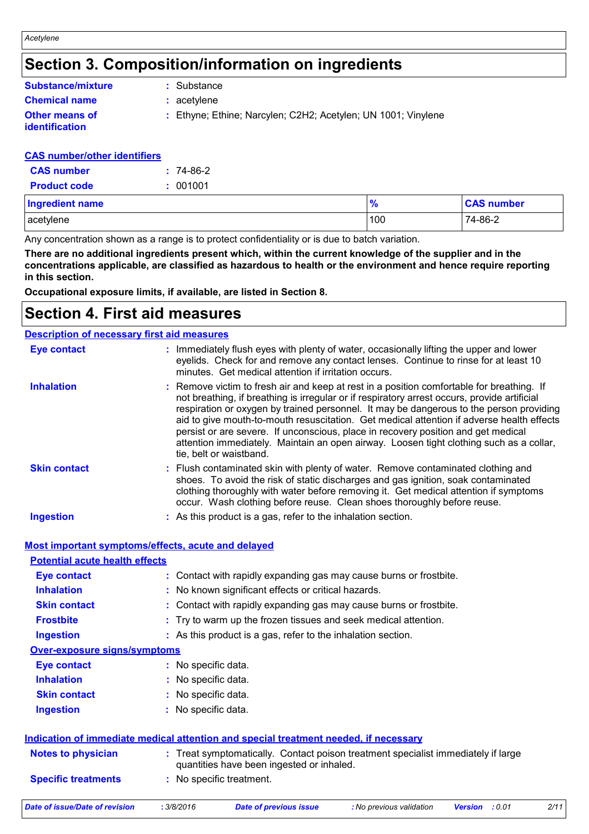# **Section 3. Composition/information on ingredients**

| <b>Substance/mixture</b>                | : Substance                                                   |
|-----------------------------------------|---------------------------------------------------------------|
| <b>Chemical name</b>                    | $:$ acetylene                                                 |
| <b>Other means of</b><br>identification | : Ethyne; Ethine; Narcylen; C2H2; Acetylen; UN 1001; Vinylene |

#### **CAS number/other identifiers**

| <b>CAS</b> number   | $: 74-86-2$ |
|---------------------|-------------|
| <b>Product code</b> | : 001001    |

| <b>Ingredient name</b> | 70  | <b>CAS number</b> |
|------------------------|-----|-------------------|
| acetylene              | 100 | 74-86-2           |

Any concentration shown as a range is to protect confidentiality or is due to batch variation.

**There are no additional ingredients present which, within the current knowledge of the supplier and in the concentrations applicable, are classified as hazardous to health or the environment and hence require reporting in this section.**

**Occupational exposure limits, if available, are listed in Section 8.**

### **Section 4. First aid measures**

| <b>Description of necessary first aid measures</b> |                                                                                                                                                                                                                                                                                                                                                                                                                                                                                                                                                                                              |
|----------------------------------------------------|----------------------------------------------------------------------------------------------------------------------------------------------------------------------------------------------------------------------------------------------------------------------------------------------------------------------------------------------------------------------------------------------------------------------------------------------------------------------------------------------------------------------------------------------------------------------------------------------|
| <b>Eye contact</b>                                 | : Immediately flush eyes with plenty of water, occasionally lifting the upper and lower<br>eyelids. Check for and remove any contact lenses. Continue to rinse for at least 10<br>minutes. Get medical attention if irritation occurs.                                                                                                                                                                                                                                                                                                                                                       |
| <b>Inhalation</b>                                  | : Remove victim to fresh air and keep at rest in a position comfortable for breathing. If<br>not breathing, if breathing is irregular or if respiratory arrest occurs, provide artificial<br>respiration or oxygen by trained personnel. It may be dangerous to the person providing<br>aid to give mouth-to-mouth resuscitation. Get medical attention if adverse health effects<br>persist or are severe. If unconscious, place in recovery position and get medical<br>attention immediately. Maintain an open airway. Loosen tight clothing such as a collar,<br>tie, belt or waistband. |
| <b>Skin contact</b>                                | : Flush contaminated skin with plenty of water. Remove contaminated clothing and<br>shoes. To avoid the risk of static discharges and gas ignition, soak contaminated<br>clothing thoroughly with water before removing it. Get medical attention if symptoms<br>occur. Wash clothing before reuse. Clean shoes thoroughly before reuse.                                                                                                                                                                                                                                                     |
| <b>Ingestion</b>                                   | : As this product is a gas, refer to the inhalation section.                                                                                                                                                                                                                                                                                                                                                                                                                                                                                                                                 |

**Most important symptoms/effects, acute and delayed**

| <b>Potential acute health effects</b> |                                                                                                                                |
|---------------------------------------|--------------------------------------------------------------------------------------------------------------------------------|
| Eye contact                           | : Contact with rapidly expanding gas may cause burns or frostbite.                                                             |
| <b>Inhalation</b>                     | : No known significant effects or critical hazards.                                                                            |
| <b>Skin contact</b>                   | : Contact with rapidly expanding gas may cause burns or frostbite.                                                             |
| <b>Frostbite</b>                      | : Try to warm up the frozen tissues and seek medical attention.                                                                |
| <b>Ingestion</b>                      | : As this product is a gas, refer to the inhalation section.                                                                   |
| <b>Over-exposure signs/symptoms</b>   |                                                                                                                                |
| Eye contact                           | : No specific data.                                                                                                            |
| <b>Inhalation</b>                     | : No specific data.                                                                                                            |
| <b>Skin contact</b>                   | : No specific data.                                                                                                            |
| <b>Ingestion</b>                      | : No specific data.                                                                                                            |
|                                       | Indication of immediate medical attention and special treatment needed, if necessary                                           |
| <b>Notes to physician</b>             | : Treat symptomatically. Contact poison treatment specialist immediately if large<br>quantities have been ingested or inhaled. |
| <b>Specific treatments</b>            | : No specific treatment.                                                                                                       |
|                                       |                                                                                                                                |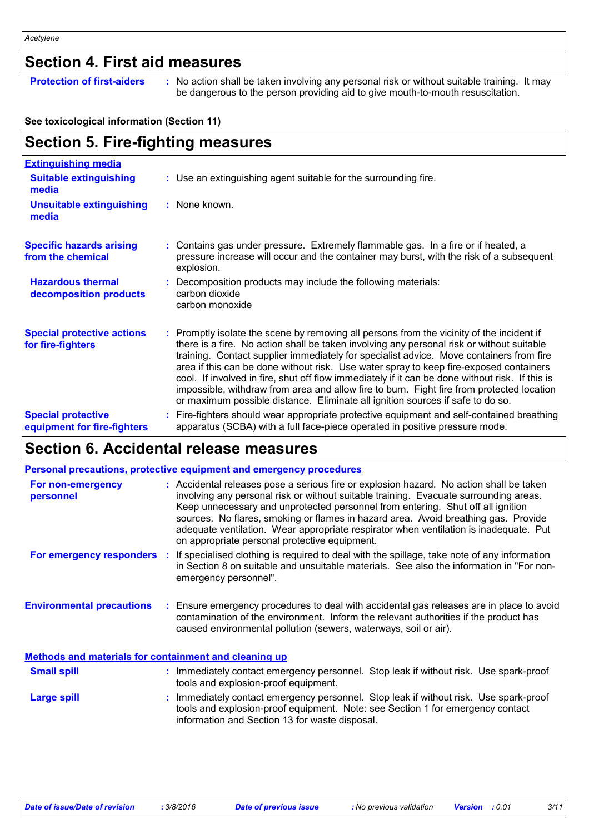# **Section 4. First aid measures**

**Protection of first-aiders** : No action shall be taken involving any personal risk or without suitable training. It may be dangerous to the person providing aid to give mouth-to-mouth resuscitation.

#### **See toxicological information (Section 11)**

#### **Section 5. Fire-fighting measures :** Promptly isolate the scene by removing all persons from the vicinity of the incident if there is a fire. No action shall be taken involving any personal risk or without suitable training. Contact supplier immediately for specialist advice. Move containers from fire area if this can be done without risk. Use water spray to keep fire-exposed containers cool. If involved in fire, shut off flow immediately if it can be done without risk. If this is impossible, withdraw from area and allow fire to burn. Fight fire from protected location or maximum possible distance. Eliminate all ignition sources if safe to do so. **Hazardous thermal decomposition products Specific hazards arising from the chemical** Decomposition products may include the following materials: **:** carbon dioxide carbon monoxide Contains gas under pressure. Extremely flammable gas. In a fire or if heated, a **:** pressure increase will occur and the container may burst, with the risk of a subsequent explosion. Fire-fighters should wear appropriate protective equipment and self-contained breathing **:** apparatus (SCBA) with a full face-piece operated in positive pressure mode. **Special protective equipment for fire-fighters** Use an extinguishing agent suitable for the surrounding fire. **: Extinguishing media :** None known. **Suitable extinguishing media Unsuitable extinguishing media Special protective actions for fire-fighters**

### **Section 6. Accidental release measures**

|                                                              | <b>Personal precautions, protective equipment and emergency procedures</b>                                                                                                                                                                                                                                                                                                                                                                                                                          |
|--------------------------------------------------------------|-----------------------------------------------------------------------------------------------------------------------------------------------------------------------------------------------------------------------------------------------------------------------------------------------------------------------------------------------------------------------------------------------------------------------------------------------------------------------------------------------------|
| For non-emergency<br>personnel                               | : Accidental releases pose a serious fire or explosion hazard. No action shall be taken<br>involving any personal risk or without suitable training. Evacuate surrounding areas.<br>Keep unnecessary and unprotected personnel from entering. Shut off all ignition<br>sources. No flares, smoking or flames in hazard area. Avoid breathing gas. Provide<br>adequate ventilation. Wear appropriate respirator when ventilation is inadequate. Put<br>on appropriate personal protective equipment. |
|                                                              | For emergency responders : If specialised clothing is required to deal with the spillage, take note of any information<br>in Section 8 on suitable and unsuitable materials. See also the information in "For non-<br>emergency personnel".                                                                                                                                                                                                                                                         |
| <b>Environmental precautions</b>                             | : Ensure emergency procedures to deal with accidental gas releases are in place to avoid<br>contamination of the environment. Inform the relevant authorities if the product has<br>caused environmental pollution (sewers, waterways, soil or air).                                                                                                                                                                                                                                                |
| <b>Methods and materials for containment and cleaning up</b> |                                                                                                                                                                                                                                                                                                                                                                                                                                                                                                     |
| <b>Small spill</b>                                           | : Immediately contact emergency personnel. Stop leak if without risk. Use spark-proof<br>tools and explosion-proof equipment.                                                                                                                                                                                                                                                                                                                                                                       |
| Large spill                                                  | : Immediately contact emergency personnel. Stop leak if without risk. Use spark-proof<br>tools and explosion-proof equipment. Note: see Section 1 for emergency contact                                                                                                                                                                                                                                                                                                                             |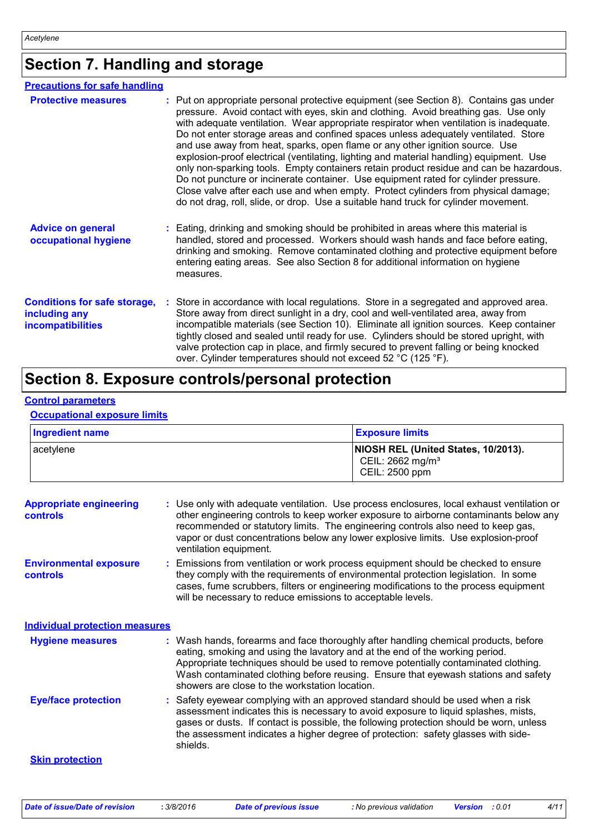# **Section 7. Handling and storage**

| <b>Precautions for safe handling</b>                                             |                                                                                                                                                                                                                                                                                                                                                                                                                                                                                                                                                                                                                                                                                                                                                                                                                                                                                                        |
|----------------------------------------------------------------------------------|--------------------------------------------------------------------------------------------------------------------------------------------------------------------------------------------------------------------------------------------------------------------------------------------------------------------------------------------------------------------------------------------------------------------------------------------------------------------------------------------------------------------------------------------------------------------------------------------------------------------------------------------------------------------------------------------------------------------------------------------------------------------------------------------------------------------------------------------------------------------------------------------------------|
| <b>Protective measures</b>                                                       | : Put on appropriate personal protective equipment (see Section 8). Contains gas under<br>pressure. Avoid contact with eyes, skin and clothing. Avoid breathing gas. Use only<br>with adequate ventilation. Wear appropriate respirator when ventilation is inadequate.<br>Do not enter storage areas and confined spaces unless adequately ventilated. Store<br>and use away from heat, sparks, open flame or any other ignition source. Use<br>explosion-proof electrical (ventilating, lighting and material handling) equipment. Use<br>only non-sparking tools. Empty containers retain product residue and can be hazardous.<br>Do not puncture or incinerate container. Use equipment rated for cylinder pressure.<br>Close valve after each use and when empty. Protect cylinders from physical damage;<br>do not drag, roll, slide, or drop. Use a suitable hand truck for cylinder movement. |
| <b>Advice on general</b><br>occupational hygiene                                 | : Eating, drinking and smoking should be prohibited in areas where this material is<br>handled, stored and processed. Workers should wash hands and face before eating,<br>drinking and smoking. Remove contaminated clothing and protective equipment before<br>entering eating areas. See also Section 8 for additional information on hygiene<br>measures.                                                                                                                                                                                                                                                                                                                                                                                                                                                                                                                                          |
| <b>Conditions for safe storage,</b><br>including any<br><b>incompatibilities</b> | Store in accordance with local regulations. Store in a segregated and approved area.<br>Store away from direct sunlight in a dry, cool and well-ventilated area, away from<br>incompatible materials (see Section 10). Eliminate all ignition sources. Keep container<br>tightly closed and sealed until ready for use. Cylinders should be stored upright, with<br>valve protection cap in place, and firmly secured to prevent falling or being knocked<br>over. Cylinder temperatures should not exceed 52 °C (125 °F).                                                                                                                                                                                                                                                                                                                                                                             |

# **Section 8. Exposure controls/personal protection**

#### **Control parameters**

#### **Occupational exposure limits**

| <b>Ingredient name</b>                            | <b>Exposure limits</b>                                                                                                                                                                                                                                                                                                                                                                            |  |
|---------------------------------------------------|---------------------------------------------------------------------------------------------------------------------------------------------------------------------------------------------------------------------------------------------------------------------------------------------------------------------------------------------------------------------------------------------------|--|
| acetylene                                         | NIOSH REL (United States, 10/2013).<br>CEIL: 2662 mg/m <sup>3</sup><br>CEIL: 2500 ppm                                                                                                                                                                                                                                                                                                             |  |
| <b>Appropriate engineering</b><br><b>controls</b> | : Use only with adequate ventilation. Use process enclosures, local exhaust ventilation or<br>other engineering controls to keep worker exposure to airborne contaminants below any<br>recommended or statutory limits. The engineering controls also need to keep gas,<br>vapor or dust concentrations below any lower explosive limits. Use explosion-proof<br>ventilation equipment.           |  |
| <b>Environmental exposure</b><br>controls         | Emissions from ventilation or work process equipment should be checked to ensure<br>they comply with the requirements of environmental protection legislation. In some<br>cases, fume scrubbers, filters or engineering modifications to the process equipment<br>will be necessary to reduce emissions to acceptable levels.                                                                     |  |
| <b>Individual protection measures</b>             |                                                                                                                                                                                                                                                                                                                                                                                                   |  |
| <b>Hygiene measures</b>                           | : Wash hands, forearms and face thoroughly after handling chemical products, before<br>eating, smoking and using the lavatory and at the end of the working period.<br>Appropriate techniques should be used to remove potentially contaminated clothing.<br>Wash contaminated clothing before reusing. Ensure that eyewash stations and safety<br>showers are close to the workstation location. |  |
| <b>Eye/face protection</b>                        | Safety eyewear complying with an approved standard should be used when a risk<br>assessment indicates this is necessary to avoid exposure to liquid splashes, mists,<br>gases or dusts. If contact is possible, the following protection should be worn, unless<br>the assessment indicates a higher degree of protection: safety glasses with side-<br>shields.                                  |  |
| <b>Skin protection</b>                            |                                                                                                                                                                                                                                                                                                                                                                                                   |  |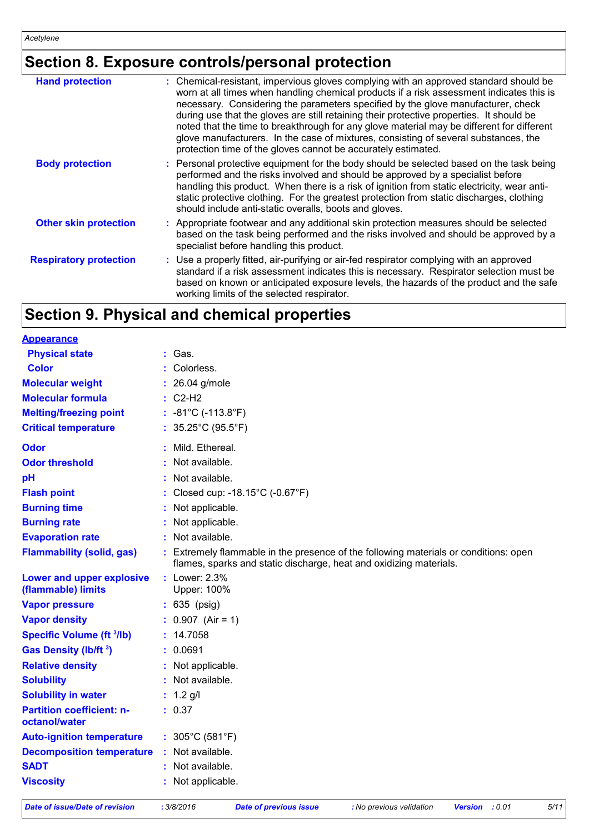# **Section 8. Exposure controls/personal protection**

| <b>Hand protection</b>        | : Chemical-resistant, impervious gloves complying with an approved standard should be<br>worn at all times when handling chemical products if a risk assessment indicates this is<br>necessary. Considering the parameters specified by the glove manufacturer, check<br>during use that the gloves are still retaining their protective properties. It should be<br>noted that the time to breakthrough for any glove material may be different for different<br>glove manufacturers. In the case of mixtures, consisting of several substances, the |
|-------------------------------|-------------------------------------------------------------------------------------------------------------------------------------------------------------------------------------------------------------------------------------------------------------------------------------------------------------------------------------------------------------------------------------------------------------------------------------------------------------------------------------------------------------------------------------------------------|
| <b>Body protection</b>        | protection time of the gloves cannot be accurately estimated.<br>: Personal protective equipment for the body should be selected based on the task being<br>performed and the risks involved and should be approved by a specialist before<br>handling this product. When there is a risk of ignition from static electricity, wear anti-<br>static protective clothing. For the greatest protection from static discharges, clothing<br>should include anti-static overalls, boots and gloves.                                                       |
| <b>Other skin protection</b>  | : Appropriate footwear and any additional skin protection measures should be selected<br>based on the task being performed and the risks involved and should be approved by a<br>specialist before handling this product.                                                                                                                                                                                                                                                                                                                             |
| <b>Respiratory protection</b> | : Use a properly fitted, air-purifying or air-fed respirator complying with an approved<br>standard if a risk assessment indicates this is necessary. Respirator selection must be<br>based on known or anticipated exposure levels, the hazards of the product and the safe<br>working limits of the selected respirator.                                                                                                                                                                                                                            |
|                               |                                                                                                                                                                                                                                                                                                                                                                                                                                                                                                                                                       |

# **Section 9. Physical and chemical properties**

| <b>Appearance</b>                                 |                                                                                                                                                            |
|---------------------------------------------------|------------------------------------------------------------------------------------------------------------------------------------------------------------|
| <b>Physical state</b>                             | Gas.                                                                                                                                                       |
| <b>Color</b>                                      | Colorless.                                                                                                                                                 |
| <b>Molecular weight</b>                           | : 26.04 g/mole                                                                                                                                             |
| <b>Molecular formula</b>                          | $C2-H2$                                                                                                                                                    |
| <b>Melting/freezing point</b>                     | : $-81^{\circ}$ C ( $-113.8^{\circ}$ F)                                                                                                                    |
| <b>Critical temperature</b>                       | : $35.25^{\circ}$ C (95.5 $^{\circ}$ F)                                                                                                                    |
| <b>Odor</b>                                       | Mild. Ethereal.                                                                                                                                            |
| <b>Odor threshold</b>                             | Not available.                                                                                                                                             |
| pH                                                | Not available.                                                                                                                                             |
| <b>Flash point</b>                                | Closed cup: -18.15°C (-0.67°F)                                                                                                                             |
| <b>Burning time</b>                               | : Not applicable.                                                                                                                                          |
| <b>Burning rate</b>                               | Not applicable.                                                                                                                                            |
| <b>Evaporation rate</b>                           | : Not available.                                                                                                                                           |
| <b>Flammability (solid, gas)</b>                  | : Extremely flammable in the presence of the following materials or conditions: open<br>flames, sparks and static discharge, heat and oxidizing materials. |
| Lower and upper explosive<br>(flammable) limits   | : Lower: 2.3%<br>Upper: 100%                                                                                                                               |
| <b>Vapor pressure</b>                             | $: 635$ (psig)                                                                                                                                             |
| <b>Vapor density</b>                              | $: 0.907$ (Air = 1)                                                                                                                                        |
| <b>Specific Volume (ft 3/lb)</b>                  | : 14.7058                                                                                                                                                  |
| <b>Gas Density (Ib/ft 3)</b>                      | : 0.0691                                                                                                                                                   |
| <b>Relative density</b>                           | : Not applicable.                                                                                                                                          |
| <b>Solubility</b>                                 | : Not available.                                                                                                                                           |
| <b>Solubility in water</b>                        | $: 1.2$ g/l                                                                                                                                                |
| <b>Partition coefficient: n-</b><br>octanol/water | : 0.37                                                                                                                                                     |
| <b>Auto-ignition temperature</b>                  | : $305^{\circ}$ C (581 $^{\circ}$ F)                                                                                                                       |
| <b>Decomposition temperature</b>                  | : Not available.                                                                                                                                           |
| <b>SADT</b>                                       | : Not available.                                                                                                                                           |
| <b>Viscosity</b>                                  | : Not applicable.                                                                                                                                          |
|                                                   |                                                                                                                                                            |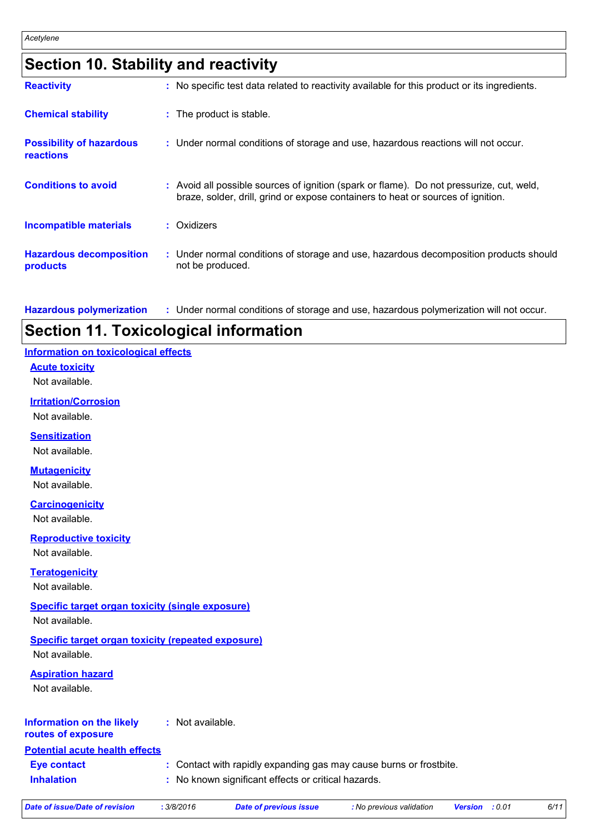# **Section 10. Stability and reactivity**

| <b>Reactivity</b>                                   | : No specific test data related to reactivity available for this product or its ingredients.                                                                                 |
|-----------------------------------------------------|------------------------------------------------------------------------------------------------------------------------------------------------------------------------------|
| <b>Chemical stability</b>                           | : The product is stable.                                                                                                                                                     |
| <b>Possibility of hazardous</b><br><b>reactions</b> | : Under normal conditions of storage and use, hazardous reactions will not occur.                                                                                            |
| <b>Conditions to avoid</b>                          | : Avoid all possible sources of ignition (spark or flame). Do not pressurize, cut, weld,<br>braze, solder, drill, grind or expose containers to heat or sources of ignition. |
| Incompatible materials                              | : Oxidizers                                                                                                                                                                  |
| <b>Hazardous decomposition</b><br>products          | : Under normal conditions of storage and use, hazardous decomposition products should<br>not be produced.                                                                    |

**Hazardous polymerization :** Under normal conditions of storage and use, hazardous polymerization will not occur.

# **Section 11. Toxicological information**

#### **Information on toxicological effects**

#### **Acute toxicity**

Not available.

#### **Irritation/Corrosion**

Not available.

#### **Sensitization**

Not available.

#### **Mutagenicity**

Not available.

#### **Carcinogenicity**

Not available.

#### **Reproductive toxicity**

Not available.

#### **Teratogenicity**

#### Not available.

#### **Specific target organ toxicity (single exposure)**

Not available.

### **Specific target organ toxicity (repeated exposure)**

Not available.

#### **Aspiration hazard**

Not available.

#### **Information on the likely :** Not available.

#### **routes of exposure**

**Potential acute health effects**

**Inhalation :** No known significant effects or critical hazards. **Eye contact :** Contact with rapidly expanding gas may cause burns or frostbite.

|  | Date of issue/Date of revision |  |
|--|--------------------------------|--|
|  |                                |  |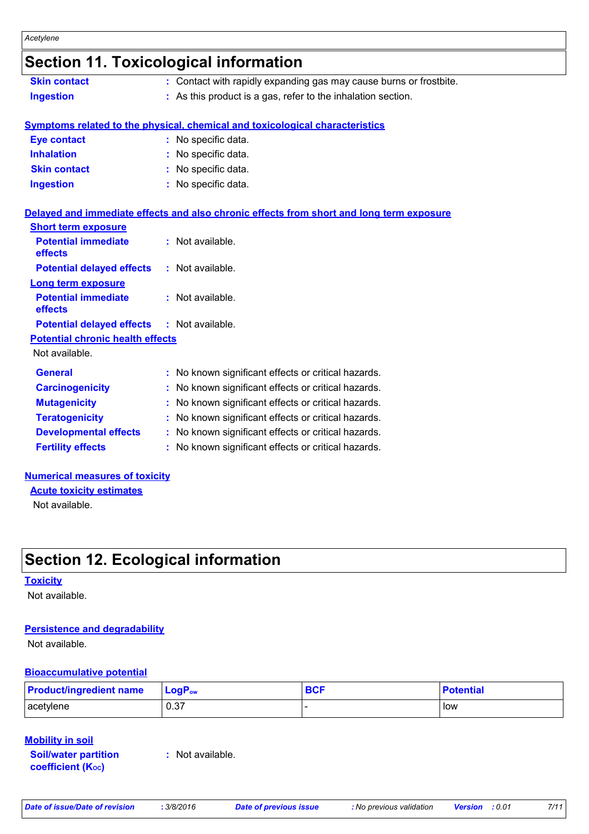# **Section 11. Toxicological information**

| <b>Skin contact</b> | : Contact with rapidly expanding gas may cause burns or frostbite. |
|---------------------|--------------------------------------------------------------------|
| Ingestion           | : As this product is a gas, refer to the inhalation section.       |

#### **Symptoms related to the physical, chemical and toxicological characteristics**

| <b>Eye contact</b>  | : No specific data. |
|---------------------|---------------------|
| <b>Inhalation</b>   | : No specific data. |
| <b>Skin contact</b> | : No specific data. |
| <b>Ingestion</b>    | : No specific data. |

#### **Delayed and immediate effects and also chronic effects from short and long term exposure**

| <b>Short term exposure</b>                        |                                                     |
|---------------------------------------------------|-----------------------------------------------------|
| <b>Potential immediate</b><br>effects             | : Not available.                                    |
| <b>Potential delayed effects</b>                  | $:$ Not available.                                  |
| Long term exposure                                |                                                     |
| <b>Potential immediate</b><br>effects             | $:$ Not available.                                  |
| <b>Potential delayed effects : Not available.</b> |                                                     |
| <b>Potential chronic health effects</b>           |                                                     |
| Not available.                                    |                                                     |
| <b>General</b>                                    | : No known significant effects or critical hazards. |
| <b>Carcinogenicity</b>                            | : No known significant effects or critical hazards. |
| <b>Mutagenicity</b>                               | : No known significant effects or critical hazards. |
| <b>Teratogenicity</b>                             | : No known significant effects or critical hazards. |
| <b>Developmental effects</b>                      | No known significant effects or critical hazards.   |
| <b>Fertility effects</b>                          | : No known significant effects or critical hazards. |
|                                                   |                                                     |

#### **Numerical measures of toxicity**

**Acute toxicity estimates**

Not available.

# **Section 12. Ecological information**

#### **Toxicity**

Not available.

#### **Persistence and degradability**

Not available.

#### **Bioaccumulative potential**

| <b>Product/ingredient name</b> | $\mathsf{LogP}_\mathsf{ow}$ | <b>BCF</b> | <b>Potential</b> |
|--------------------------------|-----------------------------|------------|------------------|
| acetylene                      | 0.37                        |            | low              |

#### **Mobility in soil**

**Soil/water partition coefficient (KOC)**

**:** Not available.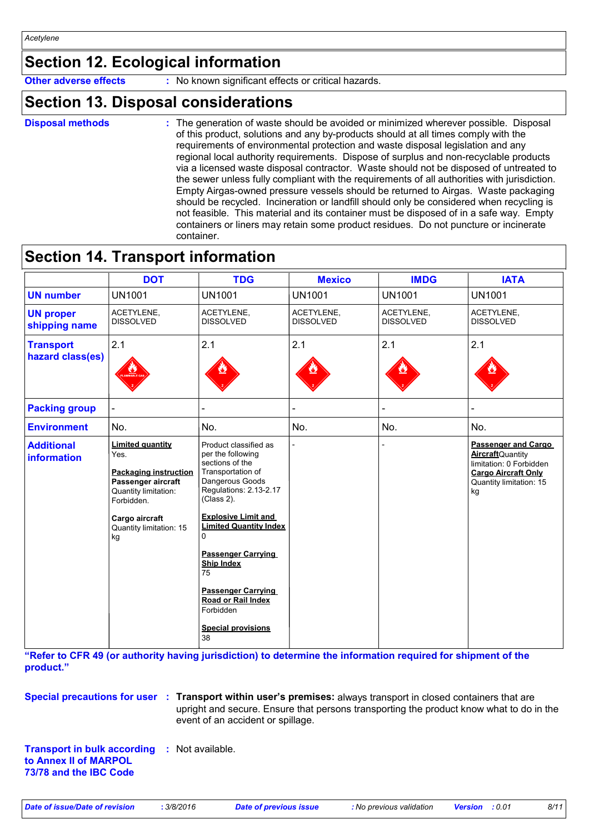# **Section 12. Ecological information**

**Other adverse effects** : No known significant effects or critical hazards.

### **Section 13. Disposal considerations**

```
Disposal methods :
```
The generation of waste should be avoided or minimized wherever possible. Disposal of this product, solutions and any by-products should at all times comply with the requirements of environmental protection and waste disposal legislation and any regional local authority requirements. Dispose of surplus and non-recyclable products via a licensed waste disposal contractor. Waste should not be disposed of untreated to the sewer unless fully compliant with the requirements of all authorities with jurisdiction. Empty Airgas-owned pressure vessels should be returned to Airgas. Waste packaging should be recycled. Incineration or landfill should only be considered when recycling is not feasible. This material and its container must be disposed of in a safe way. Empty containers or liners may retain some product residues. Do not puncture or incinerate container.

### **Section 14. Transport information**

|                                      | <b>DOT</b>                                                                                                                                                                     | <b>TDG</b>                                                                                                                                                                                                                                                                                                                                                                   | <b>Mexico</b>                  | <b>IMDG</b>                    | <b>IATA</b>                                                                                                                                      |
|--------------------------------------|--------------------------------------------------------------------------------------------------------------------------------------------------------------------------------|------------------------------------------------------------------------------------------------------------------------------------------------------------------------------------------------------------------------------------------------------------------------------------------------------------------------------------------------------------------------------|--------------------------------|--------------------------------|--------------------------------------------------------------------------------------------------------------------------------------------------|
| <b>UN number</b>                     | <b>UN1001</b>                                                                                                                                                                  | <b>UN1001</b>                                                                                                                                                                                                                                                                                                                                                                | <b>UN1001</b>                  | <b>UN1001</b>                  | <b>UN1001</b>                                                                                                                                    |
| <b>UN proper</b><br>shipping name    | ACETYLENE,<br><b>DISSOLVED</b>                                                                                                                                                 | ACETYLENE,<br><b>DISSOLVED</b>                                                                                                                                                                                                                                                                                                                                               | ACETYLENE,<br><b>DISSOLVED</b> | ACETYLENE,<br><b>DISSOLVED</b> | ACETYLENE,<br><b>DISSOLVED</b>                                                                                                                   |
| <b>Transport</b><br>hazard class(es) | 2.1                                                                                                                                                                            | 2.1                                                                                                                                                                                                                                                                                                                                                                          | 2.1                            | 2.1                            | 2.1                                                                                                                                              |
| <b>Packing group</b>                 |                                                                                                                                                                                |                                                                                                                                                                                                                                                                                                                                                                              |                                |                                |                                                                                                                                                  |
| <b>Environment</b>                   | No.                                                                                                                                                                            | No.                                                                                                                                                                                                                                                                                                                                                                          | No.                            | No.                            | No.                                                                                                                                              |
| <b>Additional</b><br>information     | <b>Limited quantity</b><br>Yes.<br><b>Packaging instruction</b><br>Passenger aircraft<br>Quantity limitation:<br>Forbidden.<br>Cargo aircraft<br>Quantity limitation: 15<br>kg | Product classified as<br>per the following<br>sections of the<br>Transportation of<br>Dangerous Goods<br>Regulations: 2.13-2.17<br>(Class 2).<br><b>Explosive Limit and</b><br><b>Limited Quantity Index</b><br>0<br><b>Passenger Carrying</b><br><b>Ship Index</b><br>75<br><b>Passenger Carrying</b><br>Road or Rail Index<br>Forbidden<br><b>Special provisions</b><br>38 |                                |                                | <b>Passenger and Cargo</b><br><b>Aircraft</b> Quantity<br>limitation: 0 Forbidden<br><b>Cargo Aircraft Only</b><br>Quantity limitation: 15<br>kg |

**"Refer to CFR 49 (or authority having jurisdiction) to determine the information required for shipment of the product."** 

**Special precautions for user** : Transport within user's premises: always transport in closed containers that are upright and secure. Ensure that persons transporting the product know what to do in the event of an accident or spillage.

**Transport in bulk according :** Not available. **to Annex II of MARPOL 73/78 and the IBC Code**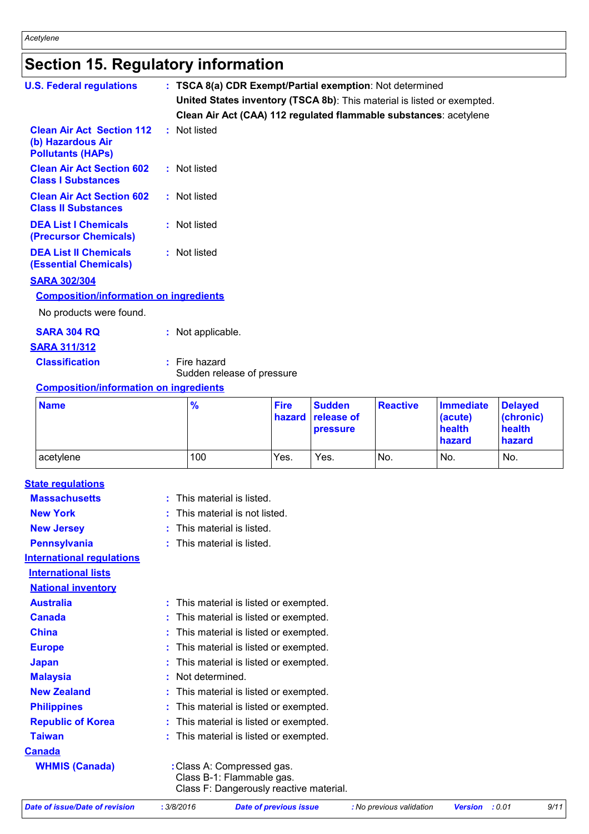# **Section 15. Regulatory information**

| <b>U.S. Federal regulations</b>                                                   | : TSCA 8(a) CDR Exempt/Partial exemption: Not determined<br>United States inventory (TSCA 8b): This material is listed or exempted. |                                                                   |             |               |                 |                  |                |
|-----------------------------------------------------------------------------------|-------------------------------------------------------------------------------------------------------------------------------------|-------------------------------------------------------------------|-------------|---------------|-----------------|------------------|----------------|
|                                                                                   |                                                                                                                                     | Clean Air Act (CAA) 112 regulated flammable substances: acetylene |             |               |                 |                  |                |
| <b>Clean Air Act Section 112</b><br>(b) Hazardous Air<br><b>Pollutants (HAPs)</b> |                                                                                                                                     | : Not listed                                                      |             |               |                 |                  |                |
| <b>Clean Air Act Section 602</b><br><b>Class I Substances</b>                     |                                                                                                                                     | : Not listed                                                      |             |               |                 |                  |                |
| <b>Clean Air Act Section 602</b><br><b>Class II Substances</b>                    |                                                                                                                                     | : Not listed                                                      |             |               |                 |                  |                |
| <b>DEA List I Chemicals</b><br>(Precursor Chemicals)                              |                                                                                                                                     | : Not listed                                                      |             |               |                 |                  |                |
| <b>DEA List II Chemicals</b><br><b>(Essential Chemicals)</b>                      |                                                                                                                                     | : Not listed                                                      |             |               |                 |                  |                |
| <b>SARA 302/304</b>                                                               |                                                                                                                                     |                                                                   |             |               |                 |                  |                |
| <b>Composition/information on ingredients</b>                                     |                                                                                                                                     |                                                                   |             |               |                 |                  |                |
| No products were found.                                                           |                                                                                                                                     |                                                                   |             |               |                 |                  |                |
| <b>SARA 304 RQ</b>                                                                |                                                                                                                                     | : Not applicable.                                                 |             |               |                 |                  |                |
| <b>SARA 311/312</b>                                                               |                                                                                                                                     |                                                                   |             |               |                 |                  |                |
| <b>Classification</b>                                                             |                                                                                                                                     | $:$ Fire hazard<br>Sudden release of pressure                     |             |               |                 |                  |                |
| <b>Composition/information on ingredients</b>                                     |                                                                                                                                     |                                                                   |             |               |                 |                  |                |
| <b>Name</b>                                                                       |                                                                                                                                     | $\frac{9}{6}$                                                     | <b>Fire</b> | <b>Sudden</b> | <b>Reactive</b> | <b>Immediate</b> | <b>Delayed</b> |

| <b>Name</b> | $\frac{9}{6}$ | <b>Fire</b> | <b>Sudden</b><br>hazard release of<br>pressure | <b>Reactive</b> | Immediate<br>(acute)<br>health<br>hazard | <b>Delaved</b><br>(chronic)<br>health<br>hazard |
|-------------|---------------|-------------|------------------------------------------------|-----------------|------------------------------------------|-------------------------------------------------|
| acetylene   | 100           | Yes.        | Yes.                                           | No.             | No.                                      | No.                                             |

| <b>State regulations</b>         |                                                                                                    |
|----------------------------------|----------------------------------------------------------------------------------------------------|
| <b>Massachusetts</b>             | This material is listed.<br>t.                                                                     |
| <b>New York</b>                  | This material is not listed.                                                                       |
| <b>New Jersey</b>                | This material is listed.                                                                           |
| <b>Pennsylvania</b>              | This material is listed.                                                                           |
| <b>International regulations</b> |                                                                                                    |
| <b>International lists</b>       |                                                                                                    |
| <b>National inventory</b>        |                                                                                                    |
| <b>Australia</b>                 | This material is listed or exempted.                                                               |
| Canada                           | This material is listed or exempted.                                                               |
| <b>China</b>                     | This material is listed or exempted.                                                               |
| <b>Europe</b>                    | This material is listed or exempted.                                                               |
| <b>Japan</b>                     | This material is listed or exempted.                                                               |
| <b>Malaysia</b>                  | Not determined.                                                                                    |
| <b>New Zealand</b>               | This material is listed or exempted.                                                               |
| <b>Philippines</b>               | This material is listed or exempted.                                                               |
| <b>Republic of Korea</b>         | This material is listed or exempted.                                                               |
| <b>Taiwan</b>                    | This material is listed or exempted.                                                               |
| <b>Canada</b>                    |                                                                                                    |
| <b>WHMIS (Canada)</b>            | : Class A: Compressed gas.<br>Class B-1: Flammable gas.<br>Class F: Dangerously reactive material. |

| 3/8/2016<br>Date of issue/Date of revision | Date of previous issue | : No previous validation | <b>Version</b> : 0.01 | 9/11 |
|--------------------------------------------|------------------------|--------------------------|-----------------------|------|
|                                            |                        |                          |                       |      |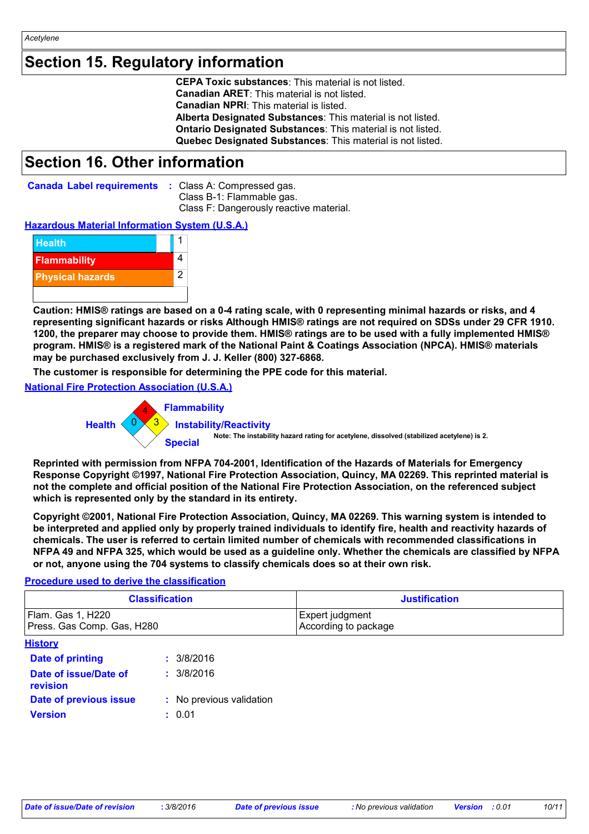*Acetylene*

# **Section 15. Regulatory information**

**CEPA Toxic substances**: This material is not listed. **Canadian ARET**: This material is not listed. **Canadian NPRI**: This material is listed. **Alberta Designated Substances**: This material is not listed. **Ontario Designated Substances**: This material is not listed. **Quebec Designated Substances**: This material is not listed.

### **Section 16. Other information**

| <b>Canada Label requirements : Class A: Compressed gas.</b> |                                         |
|-------------------------------------------------------------|-----------------------------------------|
|                                                             | Class B-1: Flammable gas.               |
|                                                             | Class F: Dangerously reactive material. |

#### **Hazardous Material Information System (U.S.A.)**



**Caution: HMIS® ratings are based on a 0-4 rating scale, with 0 representing minimal hazards or risks, and 4 representing significant hazards or risks Although HMIS® ratings are not required on SDSs under 29 CFR 1910. 1200, the preparer may choose to provide them. HMIS® ratings are to be used with a fully implemented HMIS® program. HMIS® is a registered mark of the National Paint & Coatings Association (NPCA). HMIS® materials may be purchased exclusively from J. J. Keller (800) 327-6868.**

**The customer is responsible for determining the PPE code for this material.**

**National Fire Protection Association (U.S.A.)**



**Reprinted with permission from NFPA 704-2001, Identification of the Hazards of Materials for Emergency Response Copyright ©1997, National Fire Protection Association, Quincy, MA 02269. This reprinted material is not the complete and official position of the National Fire Protection Association, on the referenced subject which is represented only by the standard in its entirety.**

**Copyright ©2001, National Fire Protection Association, Quincy, MA 02269. This warning system is intended to be interpreted and applied only by properly trained individuals to identify fire, health and reactivity hazards of chemicals. The user is referred to certain limited number of chemicals with recommended classifications in NFPA 49 and NFPA 325, which would be used as a guideline only. Whether the chemicals are classified by NFPA or not, anyone using the 704 systems to classify chemicals does so at their own risk.**

#### **Procedure used to derive the classification**

| <b>Classification</b>                           | <b>Justification</b>                    |
|-------------------------------------------------|-----------------------------------------|
| Flam. Gas 1, H220<br>Press. Gas Comp. Gas, H280 | Expert judgment<br>According to package |
| <b>Llintams</b>                                 |                                         |

| <b>History</b>                           |                          |
|------------------------------------------|--------------------------|
| <b>Date of printing</b>                  | : 3/8/2016               |
| Date of issue/Date of<br><b>revision</b> | : 3/8/2016               |
| Date of previous issue                   | : No previous validation |
| <b>Version</b>                           | : 0.01                   |